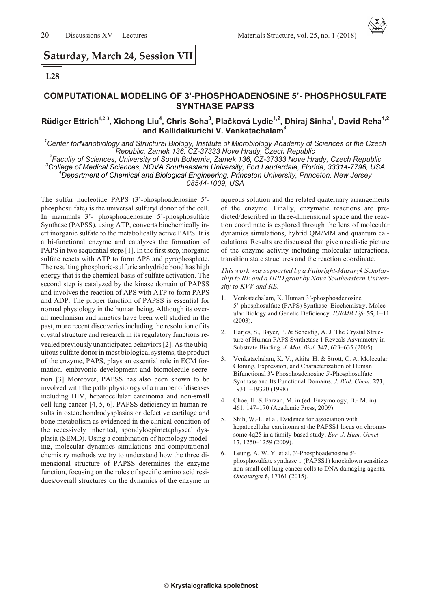## Saturday, March 24, Session VII

# $L28$

#### **COMPUTATIONAL MODELING OF 3'-PHOSPHOADENOSINE 5'- PHOSPHOSULFATE SYNTHASE PAPSS**

#### Rüdiger Ettrich<sup>1,2,3</sup>, Xichong Liu<sup>4</sup>, Chris Soha<sup>3</sup>, Plačková Lydie<sup>1,2</sup>, Dhiraj Sinha<sup>1</sup>, David Reha<sup>1,2</sup> and Kallidaikurichi V. Venkatachalam<sup>3</sup>

Center forNanobiology and Structural Biology, Institute of Microbiology Academy of Sciences of the Czech ' Republic, Zamek 136, CZ-37333 Nove Hrady, Czech Republic

<sup>2</sup>Faculty of Sciences, University of South Bohemia, Zamek 136, CZ-37333 Nove Hrady, Czech Republic <sup>3</sup>College of Medical Sciences, NOVA Southeastern University, Fort Lauderdale, Florida, 33314-7796, USA <sup>4</sup>Department of Chemical and Biological Engineering, Princeton University, Princeton, New Jersey 08544-1009, USA

The sulfur nucleotide PAPS (3'-phosphoadenosine 5'phosphosulfate) is the universal sulfuryl donor of the cell. In mammals 3'- phosphoadenosine 5'-phosphosulfate Synthase (PAPSS), using ATP, converts biochemically inert inorganic sulfate to the metabolically active PAPS. It is a bi-functional enzyme and catalyzes the formation of PAPS in two sequential steps [1]. In the first step, inorganic sulfate reacts with ATP to form APS and pyrophosphate. The resulting phosphoric-sulfuric anhydride bond has high energy that is the chemical basis of sulfate activation. The second step is catalyzed by the kinase domain of PAPSS and involves the reaction of APS with ATP to form PAPS and ADP. The proper function of PAPSS is essential for normal physiology in the human being. Although its overall mechanism and kinetics have been well studied in the past, more recent discoveries including the resolution of its crystal structure and research in its regulatory functions revealed previously unanticipated behaviors [2]. As the ubiquitous sulfate donor in most biological systems, the product of the enzyme, PAPS, plays an essential role in ECM formation, embryonic development and biomolecule secretion [3] Moreover, PAPSS has also been shown to be involved with the pathophysiology of a number of diseases including HIV, hepatocellular carcinoma and non-small cell lung cancer [4, 5, 6]. PAPSS deficiency in human results in osteochondrodysplasias or defective cartilage and bone metabolism as evidenced in the clinical condition of the recessively inherited, spondyloepimetaphyseal dysplasia (SEMD). Using a combination of homology modeling, molecular dynamics simulations and computational chemistry methods we try to understand how the three dimensional structure of PAPSS determines the enzyme function, focusing on the roles of specific amino acid residues/overall structures on the dynamics of the enzyme in

aqueous solution and the related quaternary arrangements of the enzyme. Finally, enzymatic reactions are predicted/described in three-dimensional space and the reaction coordinate is explored through the lens of molecular dynamics simulations, hybrid QM/MM and quantum calculations. Results are discussed that give a realistic picture of the enzyme activity including molecular interactions, transition state structures and the reaction coordinate.

This work was supported by a Fulbright-Masaryk Scholarship to RE and a HPD grant by Nova Southeastern University to KVV and RE.

- Venkatachalam, K. Human 3'-phosphoadenosine  $1$ . 5'-phosphosulfate (PAPS) Synthase: Biochemistry, Molecular Biology and Genetic Deficiency. IUBMB Life 55, 1-11  $(2003)$ .
- 2. Harjes, S., Bayer, P. & Scheidig, A. J. The Crystal Structure of Human PAPS Synthetase 1 Reveals Asymmetry in Substrate Binding. J. Mol. Biol. 347, 623–635 (2005).
- Venkatachalam, K. V., Akita, H. & Strott, C. A. Molecular  $\mathcal{E}$ Cloning, Expression, and Characterization of Human Bifunctional 3'- Phosphoadenosine 5'-Phosphosulfate Synthase and Its Functional Domains. J. Biol. Chem. 273, 19311-19320 (1998).
- Choe, H. & Farzan, M. in (ed. Enzymology, B.- M. in)  $4<sup>1</sup>$ 461, 147-170 (Academic Press, 2009).
- Shih, W.-L. et al. Evidence for association with  $5<sub>1</sub>$ hepatocellular carcinoma at the PAPSS1 locus on chromosome 4q25 in a family-based study. Eur. J. Hum. Genet. 17, 1250-1259 (2009).
- Leung, A. W. Y. et al. 3'-Phosphoadenosine 5'-6. phosphosulfate synthase 1 (PAPSS1) knockdown sensitizes non-small cell lung cancer cells to DNA damaging agents. Oncotarget 6, 17161 (2015).